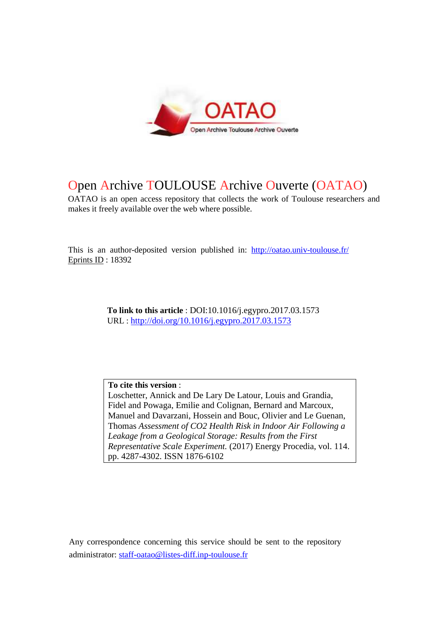

# Open Archive TOULOUSE Archive Ouverte (OATAO)

OATAO is an open access repository that collects the work of Toulouse researchers and makes it freely available over the web where possible.

This is an author-deposited version published in: http://oatao.univ-toulouse.fr/ Eprints ID : 18392

> **To link to this article** : DOI:10.1016/j.egypro.2017.03.1573 URL : http://doi.org/10.1016/j.egypro.2017.03.1573

**To cite this version** : Loschetter, Annick and De Lary De Latour, Louis and Grandia, Fidel and Powaga, Emilie and Colignan, Bernard and Marcoux, Manuel and Davarzani, Hossein and Bouc, Olivier and Le Guenan, Thomas *Assessment of CO2 Health Risk in Indoor Air Following a Leakage from a Geological Storage: Results from the First Representative Scale Experiment.* (2017) Energy Procedia, vol. 114. pp. 4287-4302. ISSN 1876-6102

Any correspondence concerning this service should be sent to the repository administrator: staff-oatao@listes-diff.inp-toulouse.fr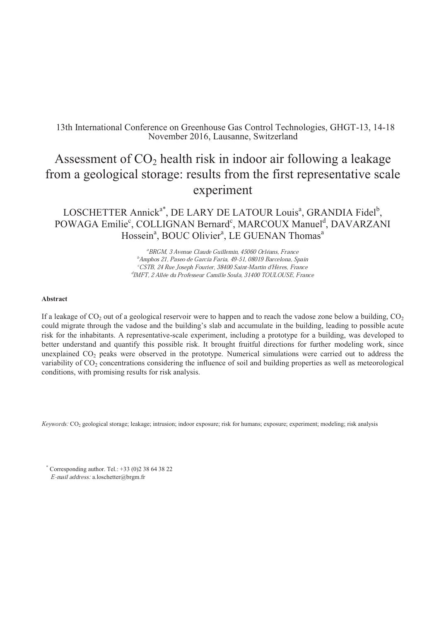# 13th International Conference on Greenhouse Gas Control Technologies, GHGT-13, 14-18 November 2016, Lausanne, Switzerland

# Assessment of  $CO<sub>2</sub>$  health risk in indoor air following a leakage from a geological storage: results from the first representative scale experiment

# LOSCHETTER Annick<sup>a\*</sup>, DE LARY DE LATOUR Louis<sup>a</sup>, GRANDIA Fidel<sup>b</sup>, POWAGA Emilie<sup>c</sup>, COLLIGNAN Bernard<sup>c</sup>, MARCOUX Manuel<sup>d</sup>, DAVARZANI Hossein<sup>a</sup>, BOUC Olivier<sup>a</sup>, LE GUENAN Thomas<sup>a</sup>

<sup>ª</sup>BRGM, 3 Avenue Claude Guillemin, 45060 Orléans, France<br><sup>b</sup>Amphos 21, Paseo de García Faria, 49-51, 08019 Barcelona, Spain<br><sup>c</sup>CSTB, 24 Rue Joseph Fourier, 38400 Saint-Martin d'Hères, France<br><sup>d</sup>IMFT, 2 Allée du Professeu

#### **Abstract**

If a leakage of  $CO_2$  out of a geological reservoir were to happen and to reach the vadose zone below a building,  $CO_2$ could migrate through the vadose and the building's slab and accumulate in the building, leading to possible acute risk for the inhabitants. A representative-scale experiment, including a prototype for a building, was developed to better understand and quantify this possible risk. It brought fruitful directions for further modeling work, since unexplained  $CO<sub>2</sub>$  peaks were observed in the prototype. Numerical simulations were carried out to address the variability of  $CO<sub>2</sub>$  concentrations considering the influence of soil and building properties as well as meteorological conditions, with promising results for risk analysis.

Keywords: CO<sup>2</sup> geological storage; leakage; intrusion; indoor exposure; risk for humans; exposure; experiment; modeling; risk analysis

 $*$  Corresponding author. Tel.:  $+33$  (0)2 38 64 38 22 E-mail address: a.loschetter@brgm.fr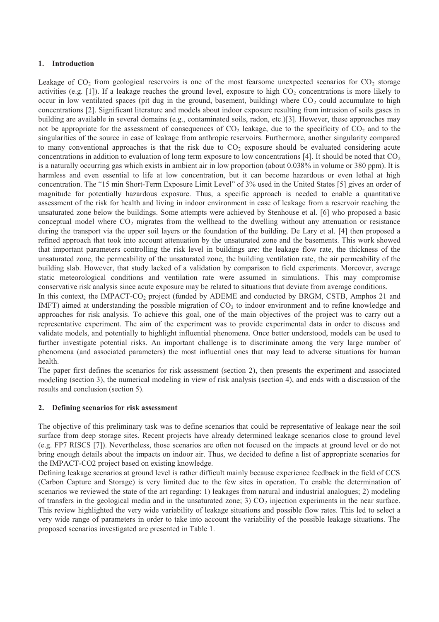### **1. Introduction**

Leakage of  $CO_2$  from geological reservoirs is one of the most fearsome unexpected scenarios for  $CO_2$  storage activities (e.g. [1]). If a leakage reaches the ground level, exposure to high  $CO<sub>2</sub>$  concentrations is more likely to occur in low ventilated spaces (pit dug in the ground, basement, building) where  $CO<sub>2</sub>$  could accumulate to high concentrations [2]. Significant literature and models about indoor exposure resulting from intrusion of soils gases in building are available in several domains (e.g., contaminated soils, radon, etc.)[3]. However, these approaches may not be appropriate for the assessment of consequences of  $CO<sub>2</sub>$  leakage, due to the specificity of  $CO<sub>2</sub>$  and to the singularities of the source in case of leakage from anthropic reservoirs. Furthermore, another singularity compared to many conventional approaches is that the risk due to  $CO<sub>2</sub>$  exposure should be evaluated considering acute concentrations in addition to evaluation of long term exposure to low concentrations [4]. It should be noted that  $CO<sub>2</sub>$ is a naturally occurring gas which exists in ambient air in low proportion (about 0.038% in volume or 380 ppm). It is harmless and even essential to life at low concentration, but it can become hazardous or even lethal at high concentration. The "15 min Short-Term Exposure Limit Level" of 3% used in the United States [5] gives an order of magnitude for potentially hazardous exposure. Thus, a specific approach is needed to enable a quantitative assessment of the risk for health and living in indoor environment in case of leakage from a reservoir reaching the unsaturated zone below the buildings. Some attempts were achieved by Stenhouse et al. [6] who proposed a basic conceptual model where  $CO<sub>2</sub>$  migrates from the wellhead to the dwelling without any attenuation or resistance during the transport via the upper soil layers or the foundation of the building. De Lary et al. [4] then proposed a refined approach that took into account attenuation by the unsaturated zone and the basements. This work showed that important parameters controlling the risk level in buildings are: the leakage flow rate, the thickness of the unsaturated zone, the permeability of the unsaturated zone, the building ventilation rate, the air permeability of the building slab. However, that study lacked of a validation by comparison to field experiments. Moreover, average static meteorological conditions and ventilation rate were assumed in simulations. This may compromise conservative risk analysis since acute exposure may be related to situations that deviate from average conditions. In this context, the IMPACT-CO<sub>2</sub> project (funded by ADEME and conducted by BRGM, CSTB, Amphos 21 and IMFT) aimed at understanding the possible migration of  $CO<sub>2</sub>$  to indoor environment and to refine knowledge and approaches for risk analysis. To achieve this goal, one of the main objectives of the project was to carry out a representative experiment. The aim of the experiment was to provide experimental data in order to discuss and validate models, and potentially to highlight influential phenomena. Once better understood, models can be used to

further investigate potential risks. An important challenge is to discriminate among the very large number of phenomena (and associated parameters) the most influential ones that may lead to adverse situations for human health. The paper first defines the scenarios for risk assessment (section 2), then presents the experiment and associated

modeling (section 3), the numerical modeling in view of risk analysis (section 4), and ends with a discussion of the results and conclusion (section 5).

# **2. Defining scenarios for risk assessment**

The objective of this preliminary task was to define scenarios that could be representative of leakage near the soil surface from deep storage sites. Recent projects have already determined leakage scenarios close to ground level (e.g. FP7 RISCS [7]). Nevertheless, those scenarios are often not focused on the impacts at ground level or do not bring enough details about the impacts on indoor air. Thus, we decided to define a list of appropriate scenarios for the IMPACT-CO2 project based on existing knowledge.

Defining leakage scenarios at ground level is rather difficult mainly because experience feedback in the field of CCS (Carbon Capture and Storage) is very limited due to the few sites in operation. To enable the determination of scenarios we reviewed the state of the art regarding: 1) leakages from natural and industrial analogues; 2) modeling of transfers in the geological media and in the unsaturated zone; 3)  $CO<sub>2</sub>$  injection experiments in the near surface. This review highlighted the very wide variability of leakage situations and possible flow rates. This led to select a very wide range of parameters in order to take into account the variability of the possible leakage situations. The proposed scenarios investigated are presented in Table 1.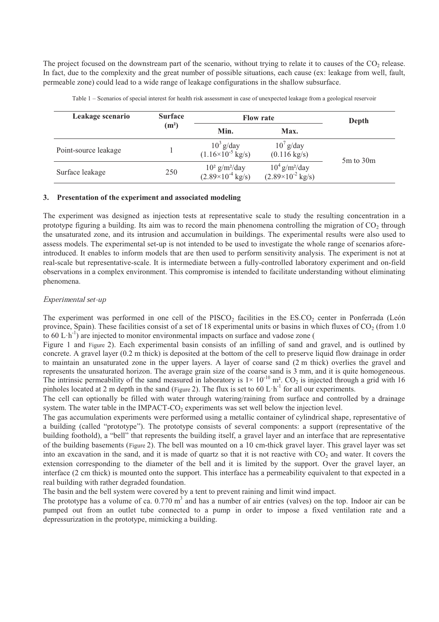The project focused on the downstream part of the scenario, without trying to relate it to causes of the  $CO<sub>2</sub>$  release. In fact, due to the complexity and the great number of possible situations, each cause (ex: leakage from well, fault, permeable zone) could lead to a wide range of leakage configurations in the shallow subsurface.

| Leakage scenario     | <b>Surface</b><br>(m <sup>2</sup> ) | <b>Flow rate</b>                                             |                                                                    | Depth         |  |
|----------------------|-------------------------------------|--------------------------------------------------------------|--------------------------------------------------------------------|---------------|--|
|                      |                                     | Min.                                                         | Max.                                                               |               |  |
| Point-source leakage |                                     | $10^3$ g/day<br>(1.16×10 <sup>-5</sup> kg/s)                 | $10^7$ g/day<br>$(0.116 \text{ kg/s})$                             | $5m$ to $30m$ |  |
| Surface leakage      | 250                                 | $10^2$ g/m <sup>2</sup> /day<br>(2.89×10 <sup>-4</sup> kg/s) | $10^4$ g/m <sup>2</sup> /day<br>$(2.89\times10^{-2} \text{ kg/s})$ |               |  |

Table 1 – Scenarios of special interest for health risk assessment in case of unexpected leakage from a geological reservoir

# **3. Presentation of the experiment and associated modeling**

The experiment was designed as injection tests at representative scale to study the resulting concentration in a prototype figuring a building. Its aim was to record the main phenomena controlling the migration of  $CO<sub>2</sub>$  through the unsaturated zone, and its intrusion and accumulation in buildings. The experimental results were also used to assess models. The experimental set-up is not intended to be used to investigate the whole range of scenarios aforeintroduced. It enables to inform models that are then used to perform sensitivity analysis. The experiment is not at real-scale but representative-scale. It is intermediate between a fully-controlled laboratory experiment and on-field observations in a complex environment. This compromise is intended to facilitate understanding without eliminating phenomena.

#### Experimental set-up

The experiment was performed in one cell of the  $PISCO_2$  facilities in the  $ESCO_2$  center in Ponferrada (León province, Spain). These facilities consist of a set of 18 experimental units or basins in which fluxes of  $CO<sub>2</sub>$  (from 1.0 to  $60 \mathrm{L} \cdot \mathrm{h}^{-1}$ ) are injected to monitor environmental impacts on surface and vadose zone (

Figure 1 and Figure 2). Each experimental basin consists of an infilling of sand and gravel, and is outlined by concrete. A gravel layer (0.2 m thick) is deposited at the bottom of the cell to preserve liquid flow drainage in order to maintain an unsaturated zone in the upper layers. A layer of coarse sand (2 m thick) overlies the gravel and represents the unsaturated horizon. The average grain size of the coarse sand is 3 mm, and it is quite homogeneous. The intrinsic permeability of the sand measured in laboratory is  $1 \times 10^{-10}$  m<sup>2</sup>. CO<sub>2</sub> is injected through a grid with 16 pinholes located at 2 m depth in the sand (Figure 2). The flux is set to 60 L·h<sup>-1</sup> for all our experiments.

The cell can optionally be filled with water through watering/raining from surface and controlled by a drainage system. The water table in the IMPACT-CO<sub>2</sub> experiments was set well below the injection level.

The gas accumulation experiments were performed using a metallic container of cylindrical shape, representative of a building (called "prototype"). The prototype consists of several components: a support (representative of the building foothold), a "bell" that represents the building itself, a gravel layer and an interface that are representative of the building basements (Figure 2). The bell was mounted on a 10 cm-thick gravel layer. This gravel layer was set into an excavation in the sand, and it is made of quartz so that it is not reactive with  $CO<sub>2</sub>$  and water. It covers the extension corresponding to the diameter of the bell and it is limited by the support. Over the gravel layer, an interface (2 cm thick) is mounted onto the support. This interface has a permeability equivalent to that expected in a real building with rather degraded foundation.

The basin and the bell system were covered by a tent to prevent raining and limit wind impact.

The prototype has a volume of ca.  $0.770 \text{ m}^3$  and has a number of air entries (valves) on the top. Indoor air can be pumped out from an outlet tube connected to a pump in order to impose a fixed ventilation rate and a depressurization in the prototype, mimicking a building.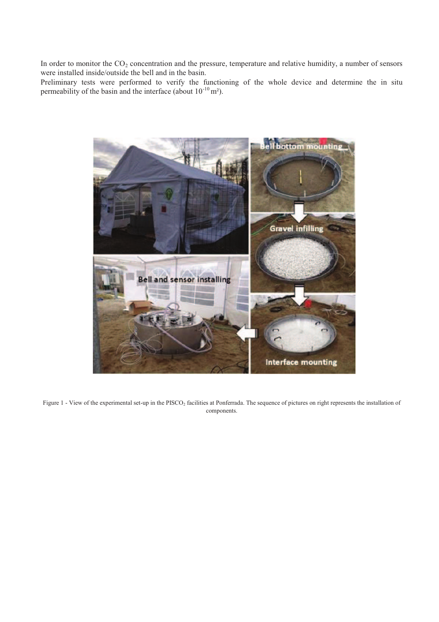In order to monitor the  $CO<sub>2</sub>$  concentration and the pressure, temperature and relative humidity, a number of sensors were installed inside/outside the bell and in the basin.

Preliminary tests were performed to verify the functioning of the whole device and determine the in situ permeability of the basin and the interface (about  $10^{-10}$  m<sup>2</sup>).



Figure 1 - View of the experimental set-up in the PISCO<sub>2</sub> facilities at Ponferrada. The sequence of pictures on right represents the installation of components.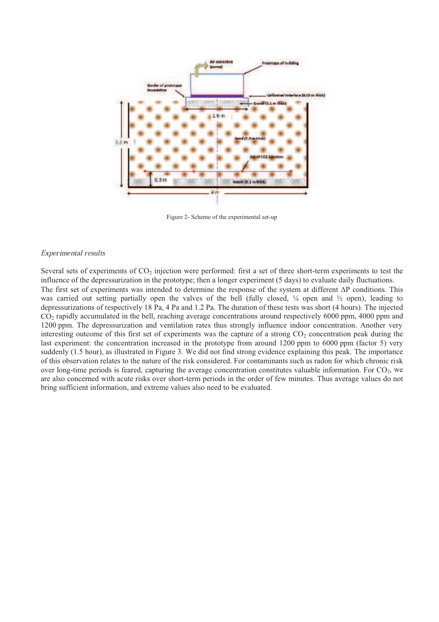

Figure 2- Scheme of the experimental set-up

#### Experimental results

Several sets of experiments of  $CO<sub>2</sub>$  injection were performed: first a set of three short-term experiments to test the influence of the depressurization in the prototype; then a longer experiment (5 days) to evaluate daily fluctuations. The first set of experiments was intended to determine the response of the system at different  $\Delta P$  conditions. This was carried out setting partially open the valves of the bell (fully closed,  $\frac{1}{4}$  open and  $\frac{1}{2}$  open), leading to depressurizations of respectively 18 Pa, 4 Pa and 1.2 Pa. The duration of these tests was short (4 hours). The injected  $CO<sub>2</sub>$  rapidly accumulated in the bell, reaching average concentrations around respectively 6000 ppm, 4000 ppm and 1200 ppm. The depressurization and ventilation rates thus strongly influence indoor concentration. Another very interesting outcome of this first set of experiments was the capture of a strong  $CO<sub>2</sub>$  concentration peak during the last experiment: the concentration increased in the prototype from around 1200 ppm to 6000 ppm (factor 5) very suddenly (1.5 hour), as illustrated in Figure 3. We did not find strong evidence explaining this peak. The importance of this observation relates to the nature of the risk considered. For contaminants such as radon for which chronic risk over long-time periods is feared, capturing the average concentration constitutes valuable information. For  $CO<sub>2</sub>$ , we are also concerned with acute risks over short-term periods in the order of few minutes. Thus average values do not bring sufficient information, and extreme values also need to be evaluated.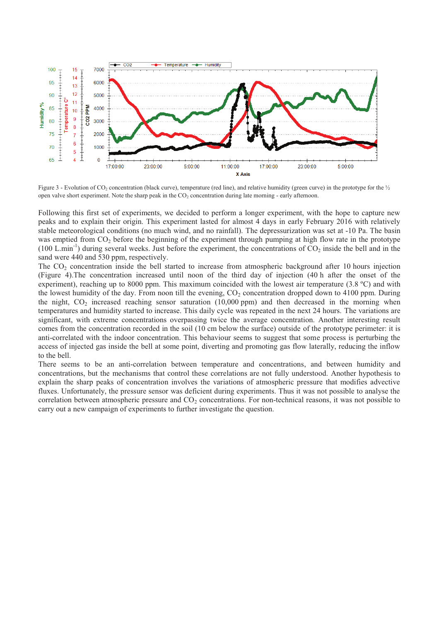

Figure 3 - Evolution of CO<sub>2</sub> concentration (black curve), temperature (red line), and relative humidity (green curve) in the prototype for the <sup>1</sup>/<sub>2</sub> open valve short experiment. Note the sharp peak in the CO<sub>2</sub> concentration during late morning - early afternoon.

Following this first set of experiments, we decided to perform a longer experiment, with the hope to capture new peaks and to explain their origin. This experiment lasted for almost 4 days in early February 2016 with relatively stable meteorological conditions (no much wind, and no rainfall). The depressurization was set at -10 Pa. The basin was emptied from  $CO<sub>2</sub>$  before the beginning of the experiment through pumping at high flow rate in the prototype  $(100 \text{ L.min}^{-1})$  during several weeks. Just before the experiment, the concentrations of CO<sub>2</sub> inside the bell and in the sand were 440 and 530 ppm, respectively.

The  $CO<sub>2</sub>$  concentration inside the bell started to increase from atmospheric background after 10 hours injection (Figure 4).The concentration increased until noon of the third day of injection (40 h after the onset of the experiment), reaching up to 8000 ppm. This maximum coincided with the lowest air temperature (3.8 ºC) and with the lowest humidity of the day. From noon till the evening,  $CO_2$  concentration dropped down to 4100 ppm. During the night,  $CO<sub>2</sub>$  increased reaching sensor saturation (10,000 ppm) and then decreased in the morning when temperatures and humidity started to increase. This daily cycle was repeated in the next 24 hours. The variations are significant, with extreme concentrations overpassing twice the average concentration. Another interesting result comes from the concentration recorded in the soil (10 cm below the surface) outside of the prototype perimeter: it is anti-correlated with the indoor concentration. This behaviour seems to suggest that some process is perturbing the access of injected gas inside the bell at some point, diverting and promoting gas flow laterally, reducing the inflow to the bell.

There seems to be an anti-correlation between temperature and concentrations, and between humidity and concentrations, but the mechanisms that control these correlations are not fully understood. Another hypothesis to explain the sharp peaks of concentration involves the variations of atmospheric pressure that modifies advective fluxes. Unfortunately, the pressure sensor was deficient during experiments. Thus it was not possible to analyse the correlation between atmospheric pressure and  $CO<sub>2</sub>$  concentrations. For non-technical reasons, it was not possible to carry out a new campaign of experiments to further investigate the question.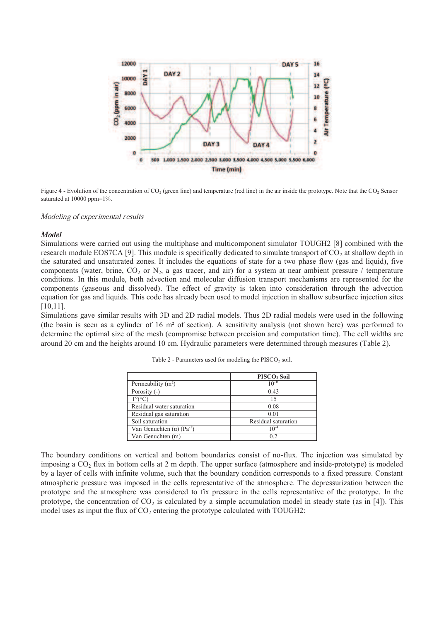

Figure 4 - Evolution of the concentration of  $CO_2$  (green line) and temperature (red line) in the air inside the prototype. Note that the  $CO_2$  Sensor saturated at 10000 ppm=1%.

Modeling of experimental results

#### **Model**

Simulations were carried out using the multiphase and multicomponent simulator TOUGH2 [8] combined with the research module EOS7CA [9]. This module is specifically dedicated to simulate transport of  $CO<sub>2</sub>$  at shallow depth in the saturated and unsaturated zones. It includes the equations of state for a two phase flow (gas and liquid), five components (water, brine,  $CO_2$  or  $N_2$ , a gas tracer, and air) for a system at near ambient pressure / temperature conditions. In this module, both advection and molecular diffusion transport mechanisms are represented for the components (gaseous and dissolved). The effect of gravity is taken into consideration through the advection equation for gas and liquids. This code has already been used to model injection in shallow subsurface injection sites [10,11].

Simulations gave similar results with 3D and 2D radial models. Thus 2D radial models were used in the following (the basin is seen as a cylinder of 16 m² of section). A sensitivity analysis (not shown here) was performed to determine the optimal size of the mesh (compromise between precision and computation time). The cell widths are around 20 cm and the heights around 10 cm. Hydraulic parameters were determined through measures (Table 2).

|                                                | PISCO <sub>2</sub> Soil |  |
|------------------------------------------------|-------------------------|--|
| Permeability $(m2)$                            | $10^{-10}$              |  |
| Porosity (-)                                   | 0.43                    |  |
| $T^{\circ}$ ( $^{\circ}$ C                     | 15                      |  |
| Residual water saturation                      | 0.08                    |  |
| Residual gas saturation                        | 0.01                    |  |
| Soil saturation                                | Residual saturation     |  |
| Van Genuchten ( $\alpha$ ) (Pa <sup>-1</sup> ) | $10^{-4}$               |  |
| Van Genuchten (m)                              | 0.2                     |  |

Table  $2$  - Parameters used for modeling the PISCO<sub>2</sub> soil.

The boundary conditions on vertical and bottom boundaries consist of no-flux. The injection was simulated by imposing a  $CO<sub>2</sub>$  flux in bottom cells at 2 m depth. The upper surface (atmosphere and inside-prototype) is modeled by a layer of cells with infinite volume, such that the boundary condition corresponds to a fixed pressure. Constant atmospheric pressure was imposed in the cells representative of the atmosphere. The depressurization between the prototype and the atmosphere was considered to fix pressure in the cells representative of the prototype. In the prototype, the concentration of  $CO<sub>2</sub>$  is calculated by a simple accumulation model in steady state (as in [4]). This model uses as input the flux of  $CO<sub>2</sub>$  entering the prototype calculated with TOUGH2: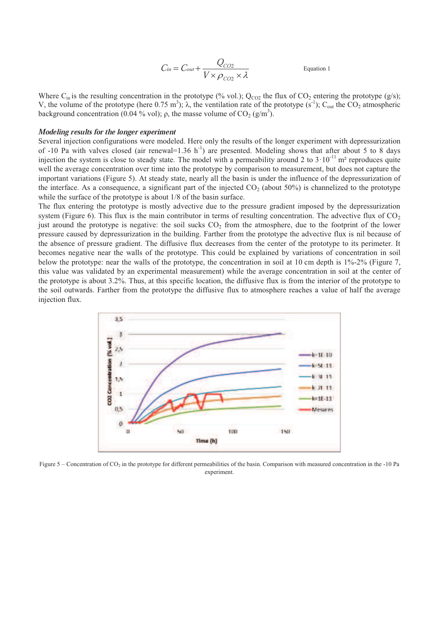$$
C_{in} = C_{out} + \frac{Q_{CO2}}{V \times \rho_{CO2} \times \lambda}
$$
 Equation 1

Where  $C_{in}$  is the resulting concentration in the prototype (% vol.);  $Q_{CO2}$  the flux of  $CO_2$  entering the prototype (g/s); V, the volume of the prototype (here 0.75 m<sup>3</sup>);  $\lambda$ , the ventilation rate of the prototype (s<sup>-1</sup>); C<sub>out</sub> the CO<sub>2</sub> atmospheric background concentration (0.04 % vol);  $\rho$ , the masse volume of CO<sub>2</sub> (g/m<sup>3</sup>).

#### Modeling results for the longer experiment

Several injection configurations were modeled. Here only the results of the longer experiment with depressurization of -10 Pa with valves closed (air renewal=1.36 h<sup>-1</sup>) are presented. Modeling shows that after about 5 to 8 days injection the system is close to steady state. The model with a permeability around 2 to  $3 \cdot 10^{-11}$  m<sup>2</sup> reproduces quite well the average concentration over time into the prototype by comparison to measurement, but does not capture the important variations (Figure 5). At steady state, nearly all the basin is under the influence of the depressurization of the interface. As a consequence, a significant part of the injected  $CO<sub>2</sub>$  (about 50%) is channelized to the prototype while the surface of the prototype is about 1/8 of the basin surface.

The flux entering the prototype is mostly advective due to the pressure gradient imposed by the depressurization system (Figure 6). This flux is the main contributor in terms of resulting concentration. The advective flux of  $CO<sub>2</sub>$ just around the prototype is negative: the soil sucks  $CO<sub>2</sub>$  from the atmosphere, due to the footprint of the lower pressure caused by depressurization in the building. Farther from the prototype the advective flux is nil because of the absence of pressure gradient. The diffusive flux decreases from the center of the prototype to its perimeter. It becomes negative near the walls of the prototype. This could be explained by variations of concentration in soil below the prototype: near the walls of the prototype, the concentration in soil at 10 cm depth is 1%-2% (Figure 7, this value was validated by an experimental measurement) while the average concentration in soil at the center of the prototype is about 3.2%. Thus, at this specific location, the diffusive flux is from the interior of the prototype to the soil outwards. Farther from the prototype the diffusive flux to atmosphere reaches a value of half the average injection flux.



Figure  $5$  – Concentration of CO<sub>2</sub> in the prototype for different permeabilities of the basin. Comparison with measured concentration in the -10 Pa experiment.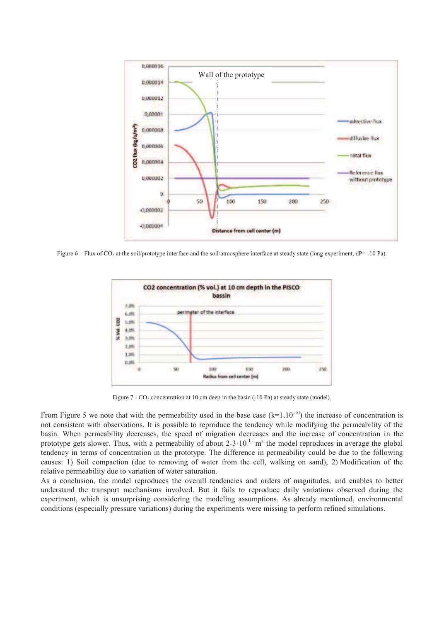

Figure 6 – Flux of CO<sub>2</sub> at the soil/prototype interface and the soil/atmosphere interface at steady state (long experiment, dP= -10 Pa).



Figure  $7 - CO_2$  concentration at 10 cm deep in the basin (-10 Pa) at steady state (model).

From Figure 5 we note that with the permeability used in the base case  $(k=1.10^{-10})$  the increase of concentration is not consistent with observations. It is possible to reproduce the tendency while modifying the permeability of the basin. When permeability decreases, the speed of migration decreases and the increase of concentration in the prototype gets slower. Thus, with a permeability of about  $2-3 \cdot 10^{-11}$  m<sup>2</sup> the model reproduces in average the global tendency in terms of concentration in the prototype. The difference in permeability could be due to the following causes: 1) Soil compaction (due to removing of water from the cell, walking on sand), 2) Modification of the relative permeability due to variation of water saturation.

As a conclusion, the model reproduces the overall tendencies and orders of magnitudes, and enables to better understand the transport mechanisms involved. But it fails to reproduce daily variations observed during the experiment, which is unsurprising considering the modeling assumptions. As already mentioned, environmental conditions (especially pressure variations) during the experiments were missing to perform refined simulations.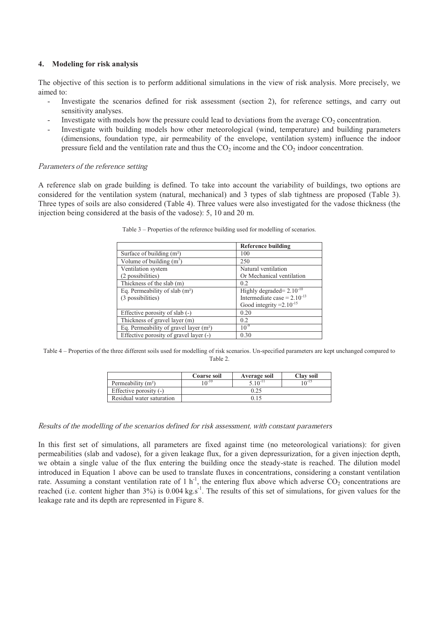# **4. Modeling for risk analysis**

The objective of this section is to perform additional simulations in the view of risk analysis. More precisely, we aimed to:

- Investigate the scenarios defined for risk assessment (section 2), for reference settings, and carry out sensitivity analyses.
- Investigate with models how the pressure could lead to deviations from the average  $CO<sub>2</sub>$  concentration.
- Investigate with building models how other meteorological (wind, temperature) and building parameters (dimensions, foundation type, air permeability of the envelope, ventilation system) influence the indoor pressure field and the ventilation rate and thus the  $CO<sub>2</sub>$  income and the  $CO<sub>2</sub>$  indoor concentration.

# Parameters of the reference setting

A reference slab on grade building is defined. To take into account the variability of buildings, two options are considered for the ventilation system (natural, mechanical) and 3 types of slab tightness are proposed (Table 3). Three types of soils are also considered (Table 4). Three values were also investigated for the vadose thickness (the injection being considered at the basis of the vadose): 5, 10 and 20 m.

|                                          | Reference building                       |  |
|------------------------------------------|------------------------------------------|--|
| Surface of building $(m^2)$              | 100                                      |  |
| Volume of building $(m^3)$               | 250                                      |  |
| Ventilation system                       | Natural ventilation                      |  |
| (2 possibilities)                        | Or Mechanical ventilation                |  |
| Thickness of the slab (m)                | 0.2                                      |  |
| Eq. Permeability of slab $(m2)$          | Highly degraded= $2.\overline{10^{-10}}$ |  |
| (3 possibilities)                        | Intermediate case = $2.10^{-13}$         |  |
|                                          | Good integrity $=2.10^{-15}$             |  |
| Effective porosity of slab (-)           | 0.20                                     |  |
| Thickness of gravel layer (m)            | 0.2                                      |  |
| Eq. Permeability of gravel layer $(m^2)$ | $10^{-9}$                                |  |
| Effective porosity of gravel layer (-)   | 0.30                                     |  |

Table 3 – Properties of the reference building used for modelling of scenarios.

Table 4 – Properties of the three different soils used for modelling of risk scenarios. Un-specified parameters are kept unchanged compared to Table 2.

|                           | Coarse soil  | Average soil | Clay soil |
|---------------------------|--------------|--------------|-----------|
| Permeability $(m2)$       | $\Omega$ -10 | $5.10^{-11}$ | 10-15     |
| Effective porosity $(-)$  | 0.25         |              |           |
| Residual water saturation | 0.15         |              |           |

# Results of the modelling of the scenarios defined for risk assessment, with constant parameters

In this first set of simulations, all parameters are fixed against time (no meteorological variations): for given permeabilities (slab and vadose), for a given leakage flux, for a given depressurization, for a given injection depth, we obtain a single value of the flux entering the building once the steady-state is reached. The dilution model introduced in Equation 1 above can be used to translate fluxes in concentrations, considering a constant ventilation rate. Assuming a constant ventilation rate of 1 h<sup>-1</sup>, the entering flux above which adverse  $CO_2$  concentrations are reached (i.e. content higher than  $3\%$ ) is 0.004 kg.s<sup>-1</sup>. The results of this set of simulations, for given values for the leakage rate and its depth are represented in Figure 8.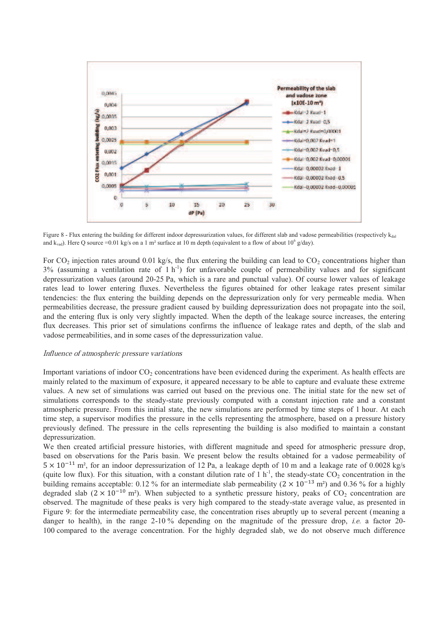

Figure 8 - Flux entering the building for different indoor depressurization values, for different slab and vadose permeabilities (respectively  $k_{\text{dal}}$ ) and k<sub>vad</sub>). Here Q source =0.01 kg/s on a 1 m<sup>2</sup> surface at 10 m depth (equivalent to a flow of about 10<sup>6</sup> g/day).

For  $CO_2$  injection rates around 0.01 kg/s, the flux entering the building can lead to  $CO_2$  concentrations higher than  $3\%$  (assuming a ventilation rate of 1 h<sup>-1</sup>) for unfavorable couple of permeability values and for significant depressurization values (around 20-25 Pa, which is a rare and punctual value). Of course lower values of leakage rates lead to lower entering fluxes. Nevertheless the figures obtained for other leakage rates present similar tendencies: the flux entering the building depends on the depressurization only for very permeable media. When permeabilities decrease, the pressure gradient caused by building depressurization does not propagate into the soil, and the entering flux is only very slightly impacted. When the depth of the leakage source increases, the entering flux decreases. This prior set of simulations confirms the influence of leakage rates and depth, of the slab and vadose permeabilities, and in some cases of the depressurization value.

#### Influence of atmospheric pressure variations

Important variations of indoor  $CO<sub>2</sub>$  concentrations have been evidenced during the experiment. As health effects are mainly related to the maximum of exposure, it appeared necessary to be able to capture and evaluate these extreme values. A new set of simulations was carried out based on the previous one. The initial state for the new set of simulations corresponds to the steady-state previously computed with a constant injection rate and a constant atmospheric pressure. From this initial state, the new simulations are performed by time steps of 1 hour. At each time step, a supervisor modifies the pressure in the cells representing the atmosphere, based on a pressure history previously defined. The pressure in the cells representing the building is also modified to maintain a constant depressurization.

We then created artificial pressure histories, with different magnitude and speed for atmospheric pressure drop, based on observations for the Paris basin. We present below the results obtained for a vadose permeability of  $5 \times 10^{-11}$  m<sup>2</sup>, for an indoor depressurization of 12 Pa, a leakage depth of 10 m and a leakage rate of 0.0028 kg/s (quite low flux). For this situation, with a constant dilution rate of  $1 h^{-1}$ , the steady-state CO<sub>2</sub> concentration in the building remains acceptable: 0.12 % for an intermediate slab permeability  $(2 \times 10^{-13} \text{ m}^2)$  and 0.36 % for a highly degraded slab ( $2 \times 10^{-10}$  m<sup>2</sup>). When subjected to a synthetic pressure history, peaks of CO<sub>2</sub> concentration are observed. The magnitude of these peaks is very high compared to the steady-state average value, as presented in Figure 9: for the intermediate permeability case, the concentration rises abruptly up to several percent (meaning a danger to health), in the range 2-10 % depending on the magnitude of the pressure drop, *i.e.* a factor 20-100 compared to the average concentration. For the highly degraded slab, we do not observe much difference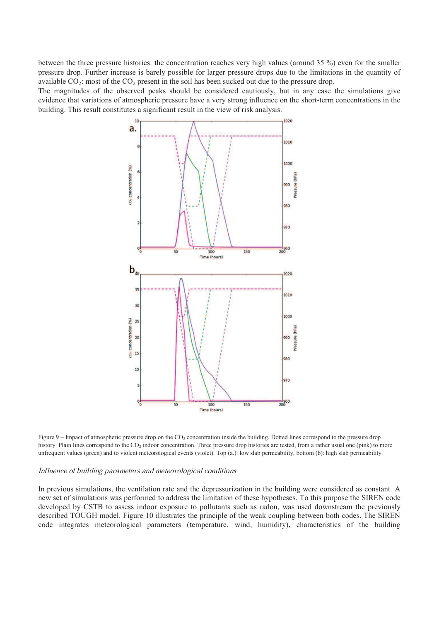between the three pressure histories: the concentration reaches very high values (around 35 %) even for the smaller pressure drop. Further increase is barely possible for larger pressure drops due to the limitations in the quantity of available  $CO_2$ : most of the  $CO_2$  present in the soil has been sucked out due to the pressure drop.

The magnitudes of the observed peaks should be considered cautiously, but in any case the simulations give evidence that variations of atmospheric pressure have a very strong influence on the short-term concentrations in the building. This result constitutes a significant result in the view of risk analysis.



Figure 9 – Impact of atmospheric pressure drop on the  $CO<sub>2</sub>$  concentration inside the building. Dotted lines correspond to the pressure drop history. Plain lines correspond to the CO<sub>2</sub> indoor concentration. Three pressure drop histories are tested, from a rather usual one (pink) to more unfrequent values (green) and to violent meteorological events (violet). Top (a.): low slab permeability, bottom (b): high slab permeability.

#### Influence of building parameters and meteorological conditions

In previous simulations, the ventilation rate and the depressurization in the building were considered as constant. A new set of simulations was performed to address the limitation of these hypotheses. To this purpose the SIREN code developed by CSTB to assess indoor exposure to pollutants such as radon, was used downstream the previously described TOUGH model. Figure 10 illustrates the principle of the weak coupling between both codes. The SIREN code integrates meteorological parameters (temperature, wind, humidity), characteristics of the building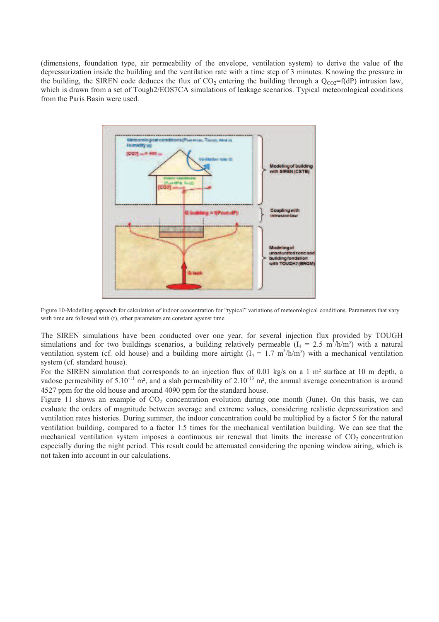(dimensions, foundation type, air permeability of the envelope, ventilation system) to derive the value of the depressurization inside the building and the ventilation rate with a time step of 3 minutes. Knowing the pressure in the building, the SIREN code deduces the flux of  $CO_2$  entering the building through a  $Q_{CO2} = f(dP)$  intrusion law, which is drawn from a set of Tough2/EOS7CA simulations of leakage scenarios. Typical meteorological conditions from the Paris Basin were used.



Figure 10-Modelling approach for calculation of indoor concentration for "typical" variations of meteorological conditions. Parameters that vary with time are followed with (t), other parameters are constant against time.

The SIREN simulations have been conducted over one year, for several injection flux provided by TOUGH simulations and for two buildings scenarios, a building relatively permeable  $(I_4 = 2.5 \text{ m}^3/\text{h/m}^2)$  with a natural ventilation system (cf. old house) and a building more airtight  $(I_4 = 1.7 \text{ m}^3/\text{h/m}^2)$  with a mechanical ventilation system (cf. standard house).

For the SIREN simulation that corresponds to an injection flux of 0.01 kg/s on a 1 m<sup>2</sup> surface at 10 m depth, a vadose permeability of  $5.10^{-11}$  m<sup>2</sup>, and a slab permeability of  $2.10^{-13}$  m<sup>2</sup>, the annual average concentration is around 4527 ppm for the old house and around 4090 ppm for the standard house.

Figure 11 shows an example of  $CO<sub>2</sub>$  concentration evolution during one month (June). On this basis, we can evaluate the orders of magnitude between average and extreme values, considering realistic depressurization and ventilation rates histories. During summer, the indoor concentration could be multiplied by a factor 5 for the natural ventilation building, compared to a factor 1.5 times for the mechanical ventilation building. We can see that the mechanical ventilation system imposes a continuous air renewal that limits the increase of CO<sub>2</sub> concentration especially during the night period. This result could be attenuated considering the opening window airing, which is not taken into account in our calculations.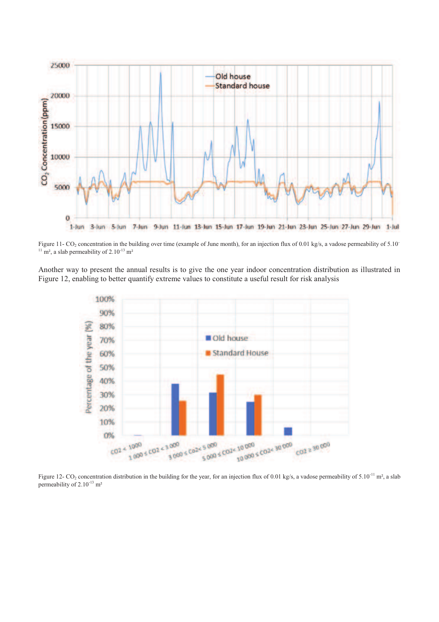

Figure 11- CO<sub>2</sub> concentration in the building over time (example of June month), for an injection flux of 0.01 kg/s, a vadose permeability of 5.10<sup>-</sup>  $11 \text{ m}^2$ , a slab permeability of 2.10<sup>-13</sup> m<sup>2</sup>

Another way to present the annual results is to give the one year indoor concentration distribution as illustrated in Figure 12, enabling to better quantify extreme values to constitute a useful result for risk analysis



Figure 12- CO<sub>2</sub> concentration distribution in the building for the year, for an injection flux of 0.01 kg/s, a vadose permeability of 5.10<sup>-11</sup> m<sup>2</sup>, a slab permeability of 2.10<sup>-13</sup> m<sup>2</sup>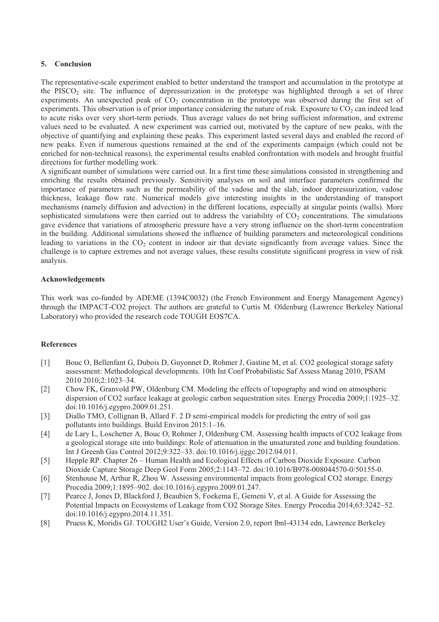# **5. Conclusion**

The representative-scale experiment enabled to better understand the transport and accumulation in the prototype at the PISCO<sub>2</sub> site. The influence of depressurization in the prototype was highlighted through a set of three experiments. An unexpected peak of  $CO<sub>2</sub>$  concentration in the prototype was observed during the first set of experiments. This observation is of prior importance considering the nature of risk. Exposure to  $CO<sub>2</sub>$  can indeed lead to acute risks over very short-term periods. Thus average values do not bring sufficient information, and extreme values need to be evaluated. A new experiment was carried out, motivated by the capture of new peaks, with the objective of quantifying and explaining these peaks. This experiment lasted several days and enabled the record of new peaks. Even if numerous questions remained at the end of the experiments campaign (which could not be enriched for non-technical reasons), the experimental results enabled confrontation with models and brought fruitful directions for further modelling work.

A significant number of simulations were carried out. In a first time these simulations consisted in strengthening and enriching the results obtained previously. Sensitivity analyses on soil and interface parameters confirmed the importance of parameters such as the permeability of the vadose and the slab, indoor depressurization, vadose thickness, leakage flow rate. Numerical models give interesting insights in the understanding of transport mechanisms (namely diffusion and advection) in the different locations, especially at singular points (walls). More sophisticated simulations were then carried out to address the variability of  $CO<sub>2</sub>$  concentrations. The simulations gave evidence that variations of atmospheric pressure have a very strong influence on the short-term concentration in the building. Additional simulations showed the influence of building parameters and meteorological conditions leading to variations in the  $CO<sub>2</sub>$  content in indoor air that deviate significantly from average values. Since the challenge is to capture extremes and not average values, these results constitute significant progress in view of risk analysis.

# **Acknowledgements**

This work was co-funded by ADEME (1394C0032) (the French Environment and Energy Management Agency) through the IMPACT-CO2 project. The authors are grateful to Curtis M. Oldenburg (Lawrence Berkeley National Laboratory) who provided the research code TOUGH EOS7CA.

# **References**

- [1] Bouc O, Bellenfant G, Dubois D, Guyonnet D, Rohmer J, Gastine M, et al. CO2 geological storage safety assessment: Methodological developments. 10th Int Conf Probabilistic Saf Assess Manag 2010, PSAM 2010 2010;2:1023–34.
- [2] Chow FK, Granvold PW, Oldenburg CM. Modeling the effects of topography and wind on atmospheric dispersion of CO2 surface leakage at geologic carbon sequestration sites. Energy Procedia 2009;1:1925–32. doi:10.1016/j.egypro.2009.01.251.
- [3] Diallo TMO, Collignan B, Allard F. 2 D semi-empirical models for predicting the entry of soil gas pollutants into buildings. Build Environ 2015:1–16.
- [4] de Lary L, Loschetter A, Bouc O, Rohmer J, Oldenburg CM. Assessing health impacts of CO2 leakage from a geological storage site into buildings: Role of attenuation in the unsaturated zone and building foundation. Int J Greenh Gas Control 2012;9:322–33. doi:10.1016/j.ijggc.2012.04.011.
- [5] Hepple RP. Chapter 26 Human Health and Ecological Effects of Carbon Dioxide Exposure. Carbon Dioxide Capture Storage Deep Geol Form 2005;2:1143–72. doi:10.1016/B978-008044570-0/50155-0.
- [6] Stenhouse M, Arthur R, Zhou W. Assessing environmental impacts from geological CO2 storage. Energy Procedia 2009;1:1895–902. doi:10.1016/j.egypro.2009.01.247.
- [7] Pearce J, Jones D, Blackford J, Beaubien S, Foekema E, Gemeni V, et al. A Guide for Assessing the Potential Impacts on Ecosystems of Leakage from CO2 Storage Sites. Energy Procedia 2014;63:3242–52. doi:10.1016/j.egypro.2014.11.351.
- [8] Pruess K, Moridis GJ. TOUGH2 User's Guide, Version 2.0, report lbnl-43134 edn, Lawrence Berkeley